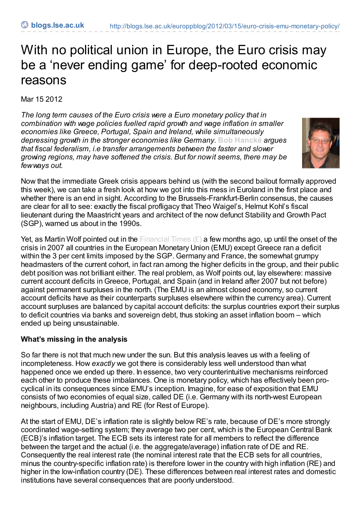# With no political union in Europe, the Euro crisis may be a 'never ending game' for deep-rooted economic reasons

Mar 15 2012

*The long term causes of the Euro crisis were a Euro monetary policy that in combination with wage policies fuelled rapid growth and wage inflation in smaller economies like Greece, Portugal, Spain and Ireland, while simultaneously depressing growth in the stronger economies like Germany.* **Bob [Hancké](http://blogs.lse.ac.uk/europpblog/?p=978#Author)** *argues that fiscal federalism, i.e transfer arrangements between the faster and slower growing regions, may have softened the crisis. But for nowit seems, there may be fewways out.*



Now that the immediate Greek crisis appears behind us (with the second bailout formally approved this week), we can take a fresh look at how we got into this mess in Euroland in the first place and whether there is an end in sight. According to the Brussels-Frankfurt-Berlin consensus, the causes are clear for all to see: exactly the fiscal profligacy that Theo Waigel's, Helmut Kohl's fiscal lieutenant during the Maastricht years and architect of the now defunct Stability and Growth Pact (SGP), warned us about in the 1990s.

Yet, as Martin Wolf pointed out in the [Financial](http://www.ft.com/cms/s/0/396ff020-1ffd-11e1-8662-00144feabdc0.html#axzz1narBZxOi) Times  $(E)$  a few months ago, up until the onset of the crisis in 2007 all countries in the European Monetary Union (EMU) except Greece ran a deficit within the 3 per cent limits imposed by the SGP. Germany and France, the somewhat grumpy headmasters of the current cohort, in fact ran among the higher deficits in the group, and their public debt position was not brilliant either. The real problem, as Wolf points out, lay elsewhere: massive current account deficits in Greece, Portugal, and Spain (and in Ireland after 2007 but not before) against permanent surpluses in the north. (The EMU is an almost closed economy, so current account deficits have as their counterparts surpluses elsewhere within the currency area). Current account surpluses are balanced by capital account deficits: the surplus countries export their surplus to deficit countries via banks and sovereign debt, thus stoking an asset inflation boom – which ended up being unsustainable.

### **What's missing in the analysis**

So far there is not that much new under the sun. But this analysis leaves us with a feeling of incompleteness. How *exactly* we got there is considerably less well understood than what happened once we ended up there. In essence, two very counterintuitive mechanisms reinforced each other to produce these imbalances. One is monetary policy, which has effectively been procyclical in its consequences since EMU's inception. Imagine, for ease of exposition that EMU consists of two economies of equal size, called DE (i.e. Germany with its north-west European neighbours, including Austria) and RE (for Rest of Europe).

At the start of EMU, DE's inflation rate is slightly below RE's rate, because of DE's more strongly coordinated wage-setting system; they average two per cent, which is the European Central Bank (ECB)'s inflation target. The ECB sets its interest rate for all members to reflect the difference between the target and the actual (i.e. the aggregate/average) inflation rate of DE and RE. Consequently the real interest rate (the nominal interest rate that the ECB sets for all countries, minus the country-specific inflation rate) is therefore lower in the country with high inflation (RE) and higher in the low-inflation country (DE). These differences between real interest rates and domestic institutions have several consequences that are poorly understood.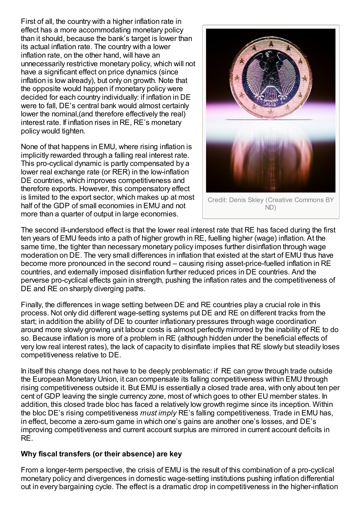First of all, the country with a higher inflation rate in effect has a more accommodating monetary policy than it should, because the bank's target is lower than its actual inflation rate. The country with a lower inflation rate, on the other hand, will have an unnecessarily restrictive monetary policy, which will not have a significant effect on price dynamics (since inflation is low already), but only on growth. Note that the opposite would happen if monetary policy were decided for each country individually: if inflation in DE were to fall, DE's central bank would almost certainly lower the nominal,(and therefore effectively the real) interest rate. If inflation rises in RE, RE's monetary policy would tighten.

None of that happens in EMU, where rising inflation is implicitly rewarded through a falling real interest rate. This pro-cyclical dynamic is partly compensated by a lower real exchange rate (or RER) in the low-inflation DE countries, which improves competitiveness and therefore exports. However, this compensatory effect is limited to the export sector, which makes up at most half of the GDP of small economies in EMU and not more than a quarter of output in large economies.



Credit: Denis Skley (Creative Commons BY ND)

The second ill-understood effect is that the lower real interest rate that RE has faced during the first ten years of EMU feeds into a path of higher growth in RE, fuelling higher (wage) inflation. At the same time, the tighter than necessary monetary policy imposes further disinflation through wage moderation on DE. The very small differences in inflation that existed at the start of EMU thus have become more pronounced in the second round – causing rising asset-price-fuelled inflation in RE countries, and externally imposed disinflation further reduced prices in DE countries. And the perverse pro-cyclical effects gain in strength, pushing the inflation rates and the competitiveness of DE and RE on sharply diverging paths.

Finally, the differences in wage setting between DE and RE countries play a crucial role in this process. Not only did different wage-setting systems put DE and RE on different tracks from the start; in addition the ability of DE to counter inflationary pressures through wage coordination around more slowly growing unit labour costs is almost perfectly mirrored by the inability of RE to do so. Because inflation is more of a problem in RE (although hidden under the beneficial effects of very low real interest rates), the lack of capacity to disinflate implies that RE slowly but steadily loses competitiveness relative to DE.

In itself this change does not have to be deeply problematic: if RE can grow through trade outside the European Monetary Union, it can compensate its falling competitiveness within EMU through rising competitiveness outside it. But EMU is essentially a closed trade area, with only about ten per cent of GDP leaving the single currency zone, most of which goes to other EU member states. In addition, this closed trade bloc has faced a relatively low growth regime since its inception. Within the bloc DE's rising competitiveness *must imply* RE's falling competitiveness. Trade in EMU has, in effect, become a zero-sum game in which one's gains are another one's losses, and DE's improving competitiveness and current account surplus are mirrored in current account deficits in RE.

### **Why fiscal transfers (or their absence) are key**

From a longer-term perspective, the crisis of EMU is the result of this combination of a pro-cyclical monetary policy and divergences in domestic wage-setting institutions pushing inflation differential out in every bargaining cycle. The effect is a dramatic drop in competitiveness in the higher-inflation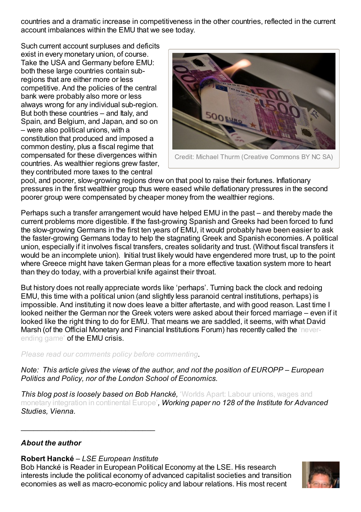countries and a dramatic increase in competitiveness in the other countries, reflected in the current account imbalances within the EMU that we see today.

Such current account surpluses and deficits exist in every monetary union, of course. Take the USA and Germany before EMU: both these large countries contain subregions that are either more or less competitive. And the policies of the central bank were probably also more or less always wrong for any individual sub-region. But both these countries – and Italy, and Spain, and Belgium, and Japan, and so on – were also political unions, with a constitution that produced and imposed a common destiny, plus a fiscal regime that compensated for these divergences within countries. As wealthier regions grew faster, they contributed more taxes to the central



pool, and poorer, slow-growing regions drew on that pool to raise their fortunes. Inflationary pressures in the first wealthier group thus were eased while deflationary pressures in the second poorer group were compensated by cheaper money from the wealthier regions.

Perhaps such a transfer arrangement would have helped EMU in the past – and thereby made the current problems more digestible. If the fast-growing Spanish and Greeks had been forced to fund the slow-growing Germans in the first ten years of EMU, it would probably have been easier to ask the faster-growing Germans today to help the stagnating Greek and Spanish economies. A political union, especially if it involves fiscal transfers, creates solidarity and trust. (Without fiscal transfers it would be an incomplete union). Initial trust likely would have engendered more trust, up to the point where Greece might have taken German pleas for a more effective taxation system more to heart than they do today, with a proverbial knife against their throat.

But history does not really appreciate words like 'perhaps'. Turning back the clock and redoing EMU, this time with a political union (and slightly less paranoid central institutions, perhaps) is impossible. And instituting it now does leave a bitter aftertaste, and with good reason. Last time I looked neither the German nor the Greek voters were asked about their forced marriage – even if it looked like the right thing to do for EMU. That means we are saddled, it seems, with what David Marsh (of the Official Monetary and Financial [Institutions](http://www.omfif.org/downloads/Copy of The_OMFIF_Commentary_ 270212.pdf) Forum) has recently called the 'neverending game' of the EMU crisis.

*Please read our comments policy before [commenting](http://blogs.lse.ac.uk/europpblog/about/comments-policy/).*

*Note: This article gives the views of the author, and not the position of EUROPP – European Politics and Policy, nor of the London School of Economics.*

*This blog post is loosely based on Bob Hancké,* 'Worlds Apart: Labour unions, wages and monetary integration in [continental](http://www.ihs.ac.at/publications/pol/pw_128.pdf) Europe'*, Working paper no 128 of the Institute for Advanced Studies, Vienna.*

### *About the author*

### **Robert Hancké** – *LSE European Institute*

\_\_\_\_\_\_\_\_\_\_\_\_\_\_\_\_\_\_\_\_\_\_\_\_\_\_\_\_\_\_\_\_

Bob Hancké is Reader in European Political Economy at the LSE. His research interests include the political economy of advanced capitalist societies and transition economies as well as macro-economic policy and labour relations. His most recent